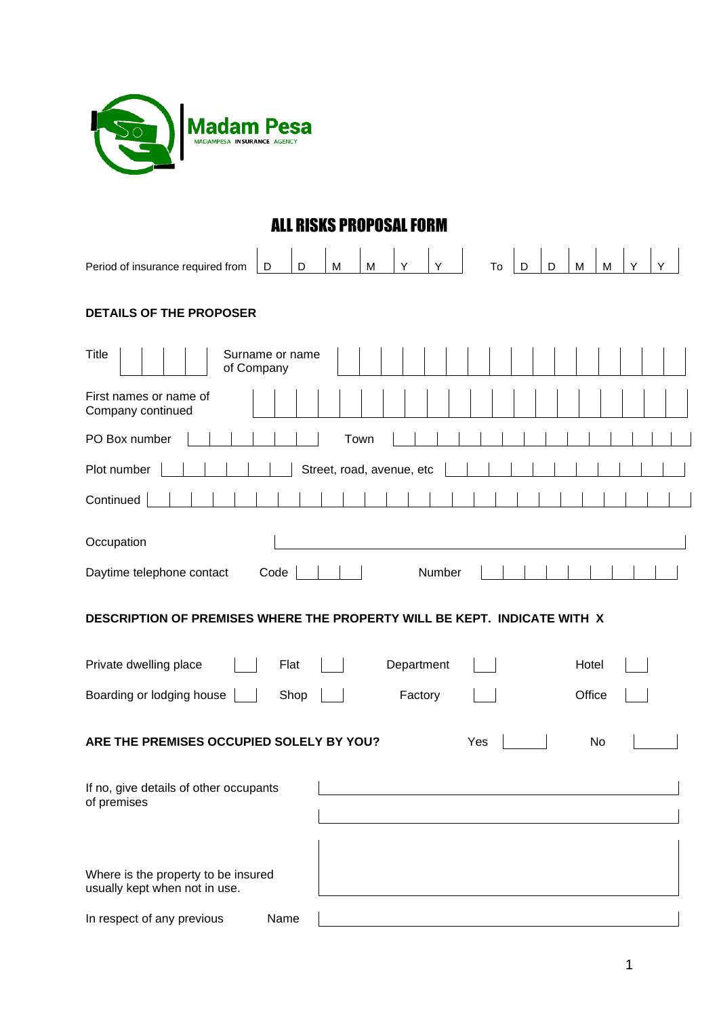

## ALL RISKS PROPOSAL FORM

| Period of insurance required from<br>M<br>Υ<br>Y<br>D<br>Y<br>D<br>D<br>M<br>To<br>D<br>M<br>M |
|------------------------------------------------------------------------------------------------|
| <b>DETAILS OF THE PROPOSER</b>                                                                 |
| <b>Title</b><br>Surname or name<br>of Company                                                  |
| First names or name of<br>Company continued                                                    |
| PO Box number<br>Town                                                                          |
| Plot number<br>Street, road, avenue, etc                                                       |
| Continued                                                                                      |
| Occupation                                                                                     |
| Daytime telephone contact<br>Code<br>Number                                                    |
| DESCRIPTION OF PREMISES WHERE THE PROPERTY WILL BE KEPT. INDICATE WITH X                       |
| Private dwelling place<br>Flat<br>Department<br>Hotel                                          |
| Boarding or lodging house<br>Office<br>Shop<br>Factory                                         |
| ARE THE PREMISES OCCUPIED SOLELY BY YOU?<br>Yes<br>No                                          |
| If no, give details of other occupants<br>of premises                                          |
| Where is the property to be insured<br>usually kept when not in use.                           |
| Name<br>In respect of any previous                                                             |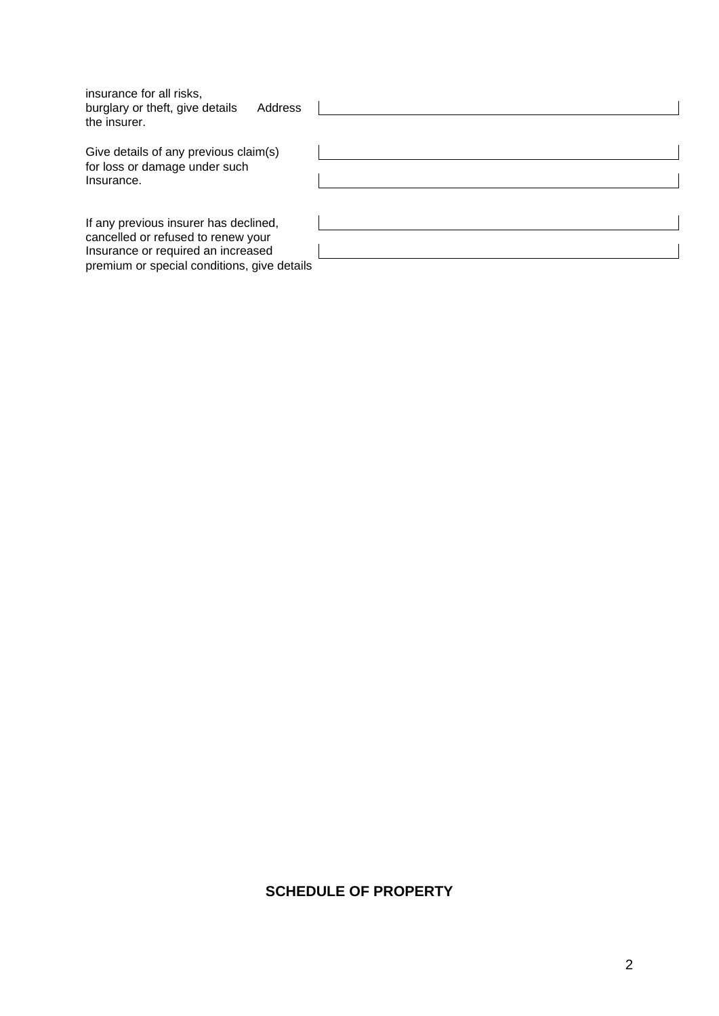| insurance for all risks,<br>burglary or theft, give details<br>Address<br>the insurer.                                                                           |  |
|------------------------------------------------------------------------------------------------------------------------------------------------------------------|--|
| Give details of any previous claim(s)<br>for loss or damage under such<br>Insurance.                                                                             |  |
| If any previous insurer has declined,<br>cancelled or refused to renew your<br>Insurance or required an increased<br>premium or special conditions, give details |  |

## **SCHEDULE OF PROPERTY**